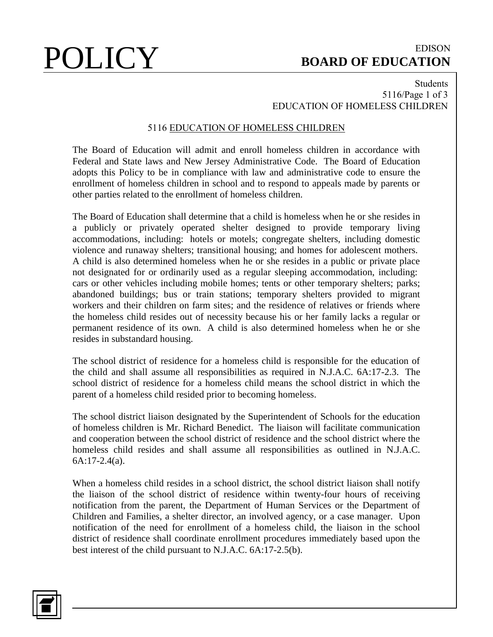## POLICY BOARD OF EDUCATION **BOARD OF EDUCATION**

## Students 5116/Page 1 of 3 EDUCATION OF HOMELESS CHILDREN

## 5116 EDUCATION OF HOMELESS CHILDREN

The Board of Education will admit and enroll homeless children in accordance with Federal and State laws and New Jersey Administrative Code. The Board of Education adopts this Policy to be in compliance with law and administrative code to ensure the enrollment of homeless children in school and to respond to appeals made by parents or other parties related to the enrollment of homeless children.

The Board of Education shall determine that a child is homeless when he or she resides in a publicly or privately operated shelter designed to provide temporary living accommodations, including: hotels or motels; congregate shelters, including domestic violence and runaway shelters; transitional housing; and homes for adolescent mothers. A child is also determined homeless when he or she resides in a public or private place not designated for or ordinarily used as a regular sleeping accommodation, including: cars or other vehicles including mobile homes; tents or other temporary shelters; parks; abandoned buildings; bus or train stations; temporary shelters provided to migrant workers and their children on farm sites; and the residence of relatives or friends where the homeless child resides out of necessity because his or her family lacks a regular or permanent residence of its own. A child is also determined homeless when he or she resides in substandard housing.

The school district of residence for a homeless child is responsible for the education of the child and shall assume all responsibilities as required in N.J.A.C. 6A:17-2.3. The school district of residence for a homeless child means the school district in which the parent of a homeless child resided prior to becoming homeless.

The school district liaison designated by the Superintendent of Schools for the education of homeless children is Mr. Richard Benedict. The liaison will facilitate communication and cooperation between the school district of residence and the school district where the homeless child resides and shall assume all responsibilities as outlined in N.J.A.C. 6A:17-2.4(a).

When a homeless child resides in a school district, the school district liaison shall notify the liaison of the school district of residence within twenty-four hours of receiving notification from the parent, the Department of Human Services or the Department of Children and Families, a shelter director, an involved agency, or a case manager. Upon notification of the need for enrollment of a homeless child, the liaison in the school district of residence shall coordinate enrollment procedures immediately based upon the best interest of the child pursuant to N.J.A.C. 6A:17-2.5(b).

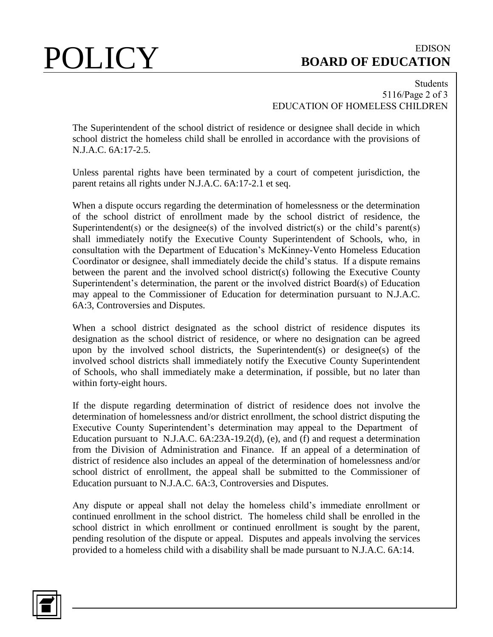## POLICY BOARD OF EDUCATION **BOARD OF EDUCATION**

### Students 5116/Page 2 of 3 EDUCATION OF HOMELESS CHILDREN

The Superintendent of the school district of residence or designee shall decide in which school district the homeless child shall be enrolled in accordance with the provisions of N.J.A.C. 6A:17-2.5.

Unless parental rights have been terminated by a court of competent jurisdiction, the parent retains all rights under N.J.A.C. 6A:17-2.1 et seq.

When a dispute occurs regarding the determination of homelessness or the determination of the school district of enrollment made by the school district of residence, the Superintendent(s) or the designee(s) of the involved district(s) or the child's parent(s) shall immediately notify the Executive County Superintendent of Schools, who, in consultation with the Department of Education's McKinney-Vento Homeless Education Coordinator or designee, shall immediately decide the child's status. If a dispute remains between the parent and the involved school district(s) following the Executive County Superintendent's determination, the parent or the involved district Board(s) of Education may appeal to the Commissioner of Education for determination pursuant to N.J.A.C. 6A:3, Controversies and Disputes.

When a school district designated as the school district of residence disputes its designation as the school district of residence, or where no designation can be agreed upon by the involved school districts, the Superintendent(s) or designee(s) of the involved school districts shall immediately notify the Executive County Superintendent of Schools, who shall immediately make a determination, if possible, but no later than within forty-eight hours.

If the dispute regarding determination of district of residence does not involve the determination of homelessness and/or district enrollment, the school district disputing the Executive County Superintendent's determination may appeal to the Department of Education pursuant to N.J.A.C. 6A:23A-19.2(d), (e), and (f) and request a determination from the Division of Administration and Finance. If an appeal of a determination of district of residence also includes an appeal of the determination of homelessness and/or school district of enrollment, the appeal shall be submitted to the Commissioner of Education pursuant to N.J.A.C. 6A:3, Controversies and Disputes.

Any dispute or appeal shall not delay the homeless child's immediate enrollment or continued enrollment in the school district. The homeless child shall be enrolled in the school district in which enrollment or continued enrollment is sought by the parent, pending resolution of the dispute or appeal. Disputes and appeals involving the services provided to a homeless child with a disability shall be made pursuant to N.J.A.C. 6A:14.